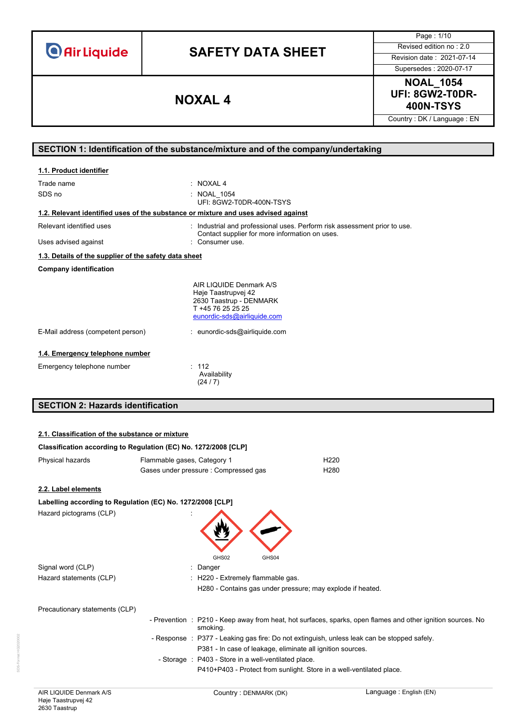**O** Air Liquide

# **SAFETY DATA SHEET** Revised edition no : 2.0

Page : 1/10

Supersedes : 2020-07-17

**NOAL\_1054 UFI: 8GW2-T0DR-400N-TSYS NOXAL 4**

Country : DK / Language : EN

# **SECTION 1: Identification of the substance/mixture and of the company/undertaking**

| 1.1. Product identifier                                                            |                                                                                                                                                                |
|------------------------------------------------------------------------------------|----------------------------------------------------------------------------------------------------------------------------------------------------------------|
| Trade name<br>SDS no                                                               | $\therefore$ NOXAL 4<br><b>NOAL 1054</b><br>UFI: 8GW2-T0DR-400N-TSYS                                                                                           |
| 1.2. Relevant identified uses of the substance or mixture and uses advised against |                                                                                                                                                                |
| Relevant identified uses                                                           | : Industrial and professional uses. Perform risk assessment prior to use.<br>Contact supplier for more information on uses.                                    |
| Uses advised against                                                               | : Consumer use.                                                                                                                                                |
| 1.3. Details of the supplier of the safety data sheet                              |                                                                                                                                                                |
| <b>Company identification</b>                                                      |                                                                                                                                                                |
| E-Mail address (competent person)                                                  | AIR LIQUIDE Denmark A/S<br>Høje Taastrupvej 42<br>2630 Taastrup - DENMARK<br>T +45 76 25 25 25<br>eunordic-sds@airliquide.com<br>: eunordic-sds@airliquide.com |
| 1.4. Emergency telephone number                                                    |                                                                                                                                                                |
| Emergency telephone number                                                         | : 112<br>Availability<br>(24/7)                                                                                                                                |

# **SECTION 2: Hazards identification**

### **2.1. Classification of the substance or mixture**

| Classification according to Regulation (EC) No. 1272/2008 [CLP] |                             |                                                      |                                                                                             |                                                                                                             |
|-----------------------------------------------------------------|-----------------------------|------------------------------------------------------|---------------------------------------------------------------------------------------------|-------------------------------------------------------------------------------------------------------------|
| Physical hazards                                                | Flammable gases, Category 1 |                                                      | H <sub>220</sub>                                                                            |                                                                                                             |
|                                                                 |                             | Gases under pressure: Compressed gas                 | H <sub>280</sub>                                                                            |                                                                                                             |
| 2.2. Label elements                                             |                             |                                                      |                                                                                             |                                                                                                             |
| Labelling according to Regulation (EC) No. 1272/2008 [CLP]      |                             |                                                      |                                                                                             |                                                                                                             |
| Hazard pictograms (CLP)                                         |                             | GHS02<br>GHS04                                       |                                                                                             |                                                                                                             |
| Signal word (CLP)                                               |                             | Danger                                               |                                                                                             |                                                                                                             |
| Hazard statements (CLP)                                         |                             | : H220 - Extremely flammable gas.                    | H280 - Contains gas under pressure; may explode if heated.                                  |                                                                                                             |
| Precautionary statements (CLP)                                  |                             |                                                      |                                                                                             |                                                                                                             |
|                                                                 |                             | smoking.                                             |                                                                                             | - Prevention : P210 - Keep away from heat, hot surfaces, sparks, open flames and other ignition sources. No |
|                                                                 |                             |                                                      | - Response : P377 - Leaking gas fire: Do not extinguish, unless leak can be stopped safely. |                                                                                                             |
|                                                                 |                             |                                                      | P381 - In case of leakage, eliminate all ignition sources.                                  |                                                                                                             |
|                                                                 |                             | - Storage : P403 - Store in a well-ventilated place. |                                                                                             |                                                                                                             |
|                                                                 |                             |                                                      | P410+P403 - Protect from sunlight. Store in a well-ventilated place.                        |                                                                                                             |

SDS-Format HG2020002

DS-Format HG202000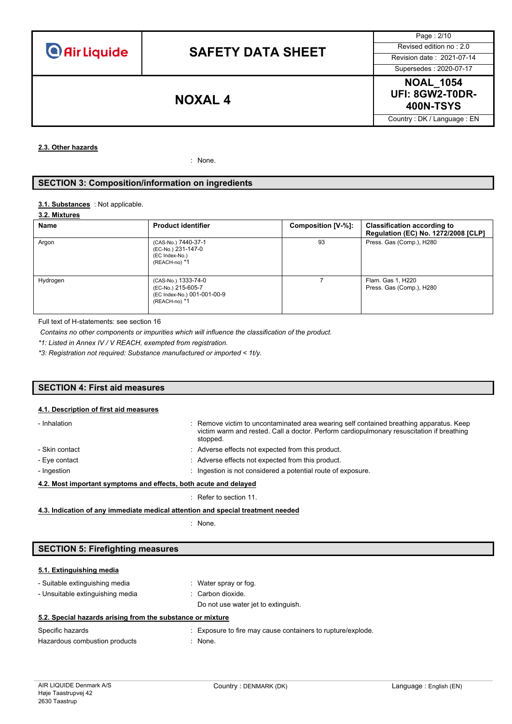Page : 2/10 Supersedes : 2020-07-17

**NOAL\_1054 UFI: 8GW2-T0DR-400N-TSYS NOXAL 4**

Country : DK / Language : EN

**2.3. Other hazards**

: None.

# **SECTION 3: Composition/information on ingredients**

#### 3.1. **Substances** : Not applicable.

### **3.2. Mixtures**

| Name     | <b>Product identifier</b>                                                                 | Composition [V-%]: | <b>Classification according to</b><br>Regulation (EC) No. 1272/2008 [CLP] |
|----------|-------------------------------------------------------------------------------------------|--------------------|---------------------------------------------------------------------------|
| Argon    | (CAS-No.) 7440-37-1<br>(EC-No.) 231-147-0<br>(EC Index-No.)<br>(REACH-no) *1              | 93                 | Press. Gas (Comp.), H280                                                  |
| Hydrogen | (CAS-No.) 1333-74-0<br>(EC-No.) 215-605-7<br>(EC Index-No.) 001-001-00-9<br>(REACH-no) *1 |                    | Flam. Gas 1, H220<br>Press. Gas (Comp.), H280                             |

Full text of H-statements: see section 16

*Contains no other components or impurities which will influence the classification of the product.*

*\*1: Listed in Annex IV / V REACH, exempted from registration.*

*\*3: Registration not required: Substance manufactured or imported < 1t/y.*

# **SECTION 4: First aid measures**

### **4.1. Description of first aid measures**

| - Inhalation                                                     | : Remove victim to uncontaminated area wearing self contained breathing apparatus. Keep<br>victim warm and rested. Call a doctor. Perform cardiopulmonary resuscitation if breathing<br>stopped. |
|------------------------------------------------------------------|--------------------------------------------------------------------------------------------------------------------------------------------------------------------------------------------------|
| - Skin contact                                                   | : Adverse effects not expected from this product.                                                                                                                                                |
| - Eye contact                                                    | : Adverse effects not expected from this product.                                                                                                                                                |
| - Ingestion                                                      | : Ingestion is not considered a potential route of exposure.                                                                                                                                     |
| 4.2. Most important symptoms and effects, both acute and delayed |                                                                                                                                                                                                  |
|                                                                  | $\therefore$ Refer to section 11.                                                                                                                                                                |

**4.3. Indication of any immediate medical attention and special treatment needed**

: None.

## **SECTION 5: Firefighting measures**

# **5.1. Extinguishing media**

| $\sim$ $\sim$ $\sim$ $\sim$ $\sim$                         |                                     |
|------------------------------------------------------------|-------------------------------------|
| 5.2. Special hazards arising from the substance or mixture |                                     |
|                                                            | Do not use water jet to extinguish. |
| - Unsuitable extinguishing media                           | $\therefore$ Carbon dioxide.        |
| - Suitable extinguishing media                             | Water spray or fog.                 |

Specific hazards **Specific hazards** : Exposure to fire may cause containers to rupture/explode. Hazardous combustion products : None.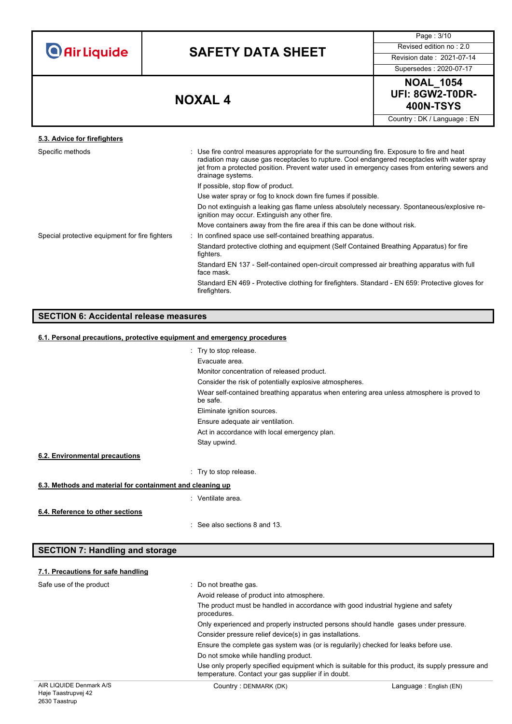| <b>O</b> Air Liquide |  |  |
|----------------------|--|--|
|                      |  |  |

Page : 3/10

Supersedes : 2020-07-17



Country : DK / Language : EN

# **5.3. Advice for firefighters**

| Specific methods                               | : Use fire control measures appropriate for the surrounding fire. Exposure to fire and heat<br>radiation may cause gas receptacles to rupture. Cool endangered receptacles with water spray<br>jet from a protected position. Prevent water used in emergency cases from entering sewers and<br>drainage systems. |  |
|------------------------------------------------|-------------------------------------------------------------------------------------------------------------------------------------------------------------------------------------------------------------------------------------------------------------------------------------------------------------------|--|
|                                                | If possible, stop flow of product.                                                                                                                                                                                                                                                                                |  |
|                                                | Use water spray or fog to knock down fire fumes if possible.                                                                                                                                                                                                                                                      |  |
|                                                | Do not extinguish a leaking gas flame unless absolutely necessary. Spontaneous/explosive re-<br>ignition may occur. Extinguish any other fire.                                                                                                                                                                    |  |
|                                                | Move containers away from the fire area if this can be done without risk.                                                                                                                                                                                                                                         |  |
| Special protective equipment for fire fighters | : In confined space use self-contained breathing apparatus.                                                                                                                                                                                                                                                       |  |
|                                                | Standard protective clothing and equipment (Self Contained Breathing Apparatus) for fire<br>fighters.                                                                                                                                                                                                             |  |
|                                                | Standard EN 137 - Self-contained open-circuit compressed air breathing apparatus with full<br>face mask.                                                                                                                                                                                                          |  |
|                                                | Standard EN 469 - Protective clothing for firefighters. Standard - EN 659: Protective gloves for<br>firefighters.                                                                                                                                                                                                 |  |

# **SECTION 6: Accidental release measures**

### **6.1. Personal precautions, protective equipment and emergency procedures**

|                                                           | : Try to stop release.                                                                                |
|-----------------------------------------------------------|-------------------------------------------------------------------------------------------------------|
|                                                           | Evacuate area.                                                                                        |
|                                                           | Monitor concentration of released product.                                                            |
|                                                           | Consider the risk of potentially explosive atmospheres.                                               |
|                                                           | Wear self-contained breathing apparatus when entering area unless atmosphere is proved to<br>be safe. |
|                                                           | Eliminate ignition sources.                                                                           |
|                                                           | Ensure adequate air ventilation.                                                                      |
|                                                           | Act in accordance with local emergency plan.                                                          |
|                                                           | Stay upwind.                                                                                          |
| 6.2. Environmental precautions                            |                                                                                                       |
|                                                           | : Try to stop release.                                                                                |
| 6.3. Methods and material for containment and cleaning up |                                                                                                       |
|                                                           | : Ventilate area.                                                                                     |
| 6.4. Reference to other sections                          | See also sections 8 and 13.<br>۰.                                                                     |
|                                                           |                                                                                                       |

# **SECTION 7: Handling and storage**

# **7.1. Precautions for safe handling**

| Safe use of the product | : Do not breathe gas.                                                                                                                                    | Avoid release of product into atmosphere.<br>The product must be handled in accordance with good industrial hygiene and safety<br>procedures.<br>Only experienced and properly instructed persons should handle gases under pressure.<br>Consider pressure relief device(s) in gas installations.<br>Ensure the complete gas system was (or is regularily) checked for leaks before use. |  |  |
|-------------------------|----------------------------------------------------------------------------------------------------------------------------------------------------------|------------------------------------------------------------------------------------------------------------------------------------------------------------------------------------------------------------------------------------------------------------------------------------------------------------------------------------------------------------------------------------------|--|--|
|                         |                                                                                                                                                          |                                                                                                                                                                                                                                                                                                                                                                                          |  |  |
|                         |                                                                                                                                                          |                                                                                                                                                                                                                                                                                                                                                                                          |  |  |
|                         |                                                                                                                                                          |                                                                                                                                                                                                                                                                                                                                                                                          |  |  |
|                         |                                                                                                                                                          |                                                                                                                                                                                                                                                                                                                                                                                          |  |  |
|                         |                                                                                                                                                          |                                                                                                                                                                                                                                                                                                                                                                                          |  |  |
|                         | Do not smoke while handling product.                                                                                                                     |                                                                                                                                                                                                                                                                                                                                                                                          |  |  |
|                         | Use only properly specified equipment which is suitable for this product, its supply pressure and<br>temperature. Contact your gas supplier if in doubt. |                                                                                                                                                                                                                                                                                                                                                                                          |  |  |
| AIR LIQUIDE Denmark A/S | Country: DENMARK (DK)                                                                                                                                    | Language: English (EN)                                                                                                                                                                                                                                                                                                                                                                   |  |  |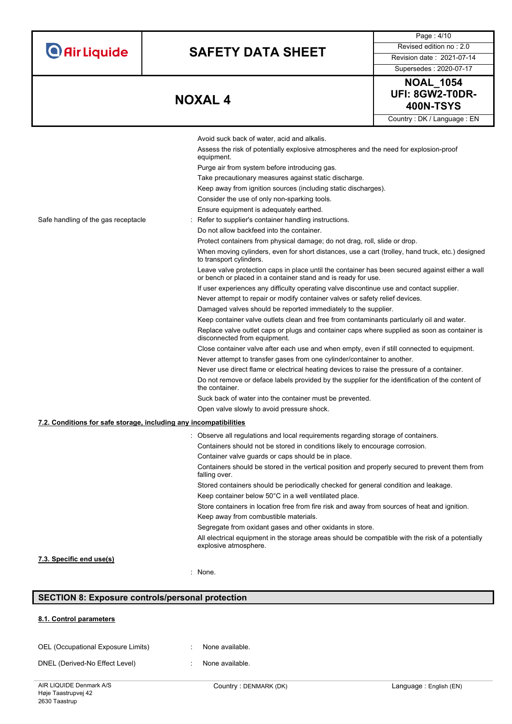| <b>O</b> Air Liquide                | <b>SAFETY DATA SHEET</b>                                                                                                                                      |                                                                |  |  |
|-------------------------------------|---------------------------------------------------------------------------------------------------------------------------------------------------------------|----------------------------------------------------------------|--|--|
|                                     |                                                                                                                                                               |                                                                |  |  |
|                                     |                                                                                                                                                               |                                                                |  |  |
|                                     | <b>NOXAL4</b>                                                                                                                                                 |                                                                |  |  |
|                                     |                                                                                                                                                               |                                                                |  |  |
|                                     |                                                                                                                                                               |                                                                |  |  |
|                                     | Avoid suck back of water, acid and alkalis.<br>Assess the risk of potentially explosive atmospheres and the r                                                 |                                                                |  |  |
|                                     | equipment.                                                                                                                                                    |                                                                |  |  |
|                                     | Purge air from system before introducing gas.                                                                                                                 |                                                                |  |  |
|                                     |                                                                                                                                                               | Take precautionary measures against static discharge.          |  |  |
|                                     |                                                                                                                                                               | Keep away from ignition sources (including static discharges). |  |  |
|                                     | Consider the use of only non-sparking tools.                                                                                                                  |                                                                |  |  |
|                                     | Ensure equipment is adequately earthed.                                                                                                                       |                                                                |  |  |
| Safe handling of the gas receptacle | : Refer to supplier's container handling instructions.                                                                                                        |                                                                |  |  |
|                                     | Do not allow backfeed into the container.                                                                                                                     |                                                                |  |  |
|                                     | Protect containers from physical damage; do not drag, roll, slig<br>When moving cylinders, even for short distances, use a cart (t<br>to transport cylinders. |                                                                |  |  |
|                                     | Leave valve protection caps in place until the container has be<br>or bench or placed in a container stand and is ready for use.                              |                                                                |  |  |
|                                     | If user experiences any difficulty operating valve discontinue u                                                                                              |                                                                |  |  |
|                                     | Never attempt to repair or modify container valves or safety re                                                                                               |                                                                |  |  |
|                                     | Damaged valves should be reported immediately to the suppli                                                                                                   |                                                                |  |  |
|                                     | Keep container valve outlets clean and free from contaminant                                                                                                  |                                                                |  |  |
|                                     | Replace valve outlet caps or plugs and container caps where<br>disconnected from equipment.                                                                   |                                                                |  |  |
|                                     | Close container valve after each use and when empty, even if                                                                                                  |                                                                |  |  |

**400N-TSYS NOXAL 4** Country : DK / Language : EN

Page : 4/10 Revised edition no : 2.0<br>**Revision date : 2021-07-14** Supersedes : 2020-07-17 **NOAL\_1054 UFI: 8GW2-T0DR-**

|                                                                   |                                                                                                                                                                                                                  | Couniny . Dr\ / Language . Liv |
|-------------------------------------------------------------------|------------------------------------------------------------------------------------------------------------------------------------------------------------------------------------------------------------------|--------------------------------|
|                                                                   | Avoid suck back of water, acid and alkalis.                                                                                                                                                                      |                                |
|                                                                   | Assess the risk of potentially explosive atmospheres and the need for explosion-proof                                                                                                                            |                                |
| equipment.                                                        |                                                                                                                                                                                                                  |                                |
|                                                                   | Purge air from system before introducing gas.                                                                                                                                                                    |                                |
|                                                                   | Take precautionary measures against static discharge.                                                                                                                                                            |                                |
|                                                                   | Keep away from ignition sources (including static discharges).                                                                                                                                                   |                                |
|                                                                   | Consider the use of only non-sparking tools.                                                                                                                                                                     |                                |
|                                                                   | Ensure equipment is adequately earthed.                                                                                                                                                                          |                                |
| Safe handling of the gas receptacle                               | Refer to supplier's container handling instructions.                                                                                                                                                             |                                |
|                                                                   | Do not allow backfeed into the container.                                                                                                                                                                        |                                |
|                                                                   | Protect containers from physical damage; do not drag, roll, slide or drop.                                                                                                                                       |                                |
|                                                                   | When moving cylinders, even for short distances, use a cart (trolley, hand truck, etc.) designed<br>to transport cylinders.                                                                                      |                                |
|                                                                   | Leave valve protection caps in place until the container has been secured against either a wall<br>or bench or placed in a container stand and is ready for use.                                                 |                                |
|                                                                   | If user experiences any difficulty operating valve discontinue use and contact supplier.                                                                                                                         |                                |
|                                                                   | Never attempt to repair or modify container valves or safety relief devices.                                                                                                                                     |                                |
|                                                                   | Damaged valves should be reported immediately to the supplier.                                                                                                                                                   |                                |
|                                                                   | Keep container valve outlets clean and free from contaminants particularly oil and water.                                                                                                                        |                                |
|                                                                   | Replace valve outlet caps or plugs and container caps where supplied as soon as container is<br>disconnected from equipment.                                                                                     |                                |
|                                                                   | Close container valve after each use and when empty, even if still connected to equipment.                                                                                                                       |                                |
|                                                                   | Never attempt to transfer gases from one cylinder/container to another.                                                                                                                                          |                                |
|                                                                   | Never use direct flame or electrical heating devices to raise the pressure of a container.<br>Do not remove or deface labels provided by the supplier for the identification of the content of<br>the container. |                                |
|                                                                   |                                                                                                                                                                                                                  |                                |
|                                                                   | Suck back of water into the container must be prevented.                                                                                                                                                         |                                |
|                                                                   | Open valve slowly to avoid pressure shock.                                                                                                                                                                       |                                |
| 7.2. Conditions for safe storage, including any incompatibilities |                                                                                                                                                                                                                  |                                |
|                                                                   |                                                                                                                                                                                                                  |                                |
|                                                                   | Observe all regulations and local requirements regarding storage of containers.                                                                                                                                  |                                |
|                                                                   | Containers should not be stored in conditions likely to encourage corrosion.                                                                                                                                     |                                |
|                                                                   | Container valve guards or caps should be in place.                                                                                                                                                               |                                |
|                                                                   | Containers should be stored in the vertical position and properly secured to prevent them from<br>falling over.                                                                                                  |                                |
|                                                                   | Stored containers should be periodically checked for general condition and leakage.                                                                                                                              |                                |
|                                                                   | Keep container below 50°C in a well ventilated place.                                                                                                                                                            |                                |
|                                                                   | Store containers in location free from fire risk and away from sources of heat and ignition.                                                                                                                     |                                |
|                                                                   | Keep away from combustible materials.                                                                                                                                                                            |                                |
|                                                                   | Segregate from oxidant gases and other oxidants in store.                                                                                                                                                        |                                |
|                                                                   | All electrical equipment in the storage areas should be compatible with the risk of a potentially<br>explosive atmosphere.                                                                                       |                                |
| 7.3. Specific end use(s)                                          |                                                                                                                                                                                                                  |                                |
|                                                                   | : None.                                                                                                                                                                                                          |                                |

# **SECTION 8: Exposure controls/personal protection**

### **8.1. Control parameters**

| OEL (Occupational Exposure Limits) | None available. |
|------------------------------------|-----------------|
|                                    |                 |

DNEL (Derived-No Effect Level) : None available.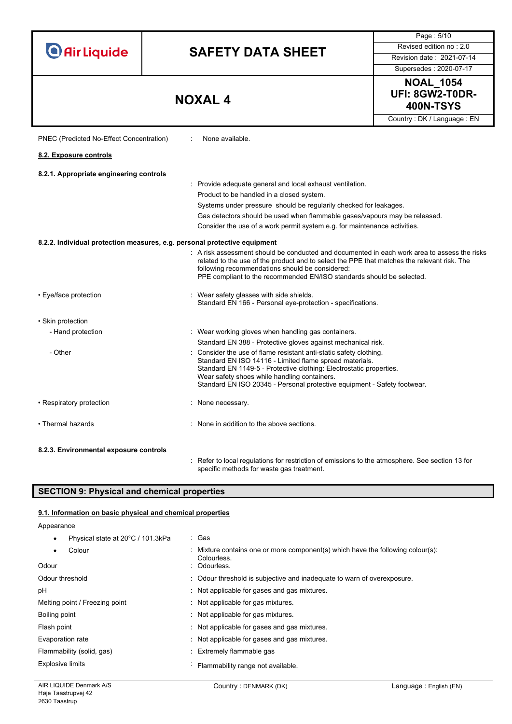|                                                   |                                                                                                                                                                                                                                                                                                                                | Page: 5/10                 |  |  |  |  |
|---------------------------------------------------|--------------------------------------------------------------------------------------------------------------------------------------------------------------------------------------------------------------------------------------------------------------------------------------------------------------------------------|----------------------------|--|--|--|--|
|                                                   | Revised edition no: 2.0<br><b>SAFETY DATA SHEET</b>                                                                                                                                                                                                                                                                            |                            |  |  |  |  |
| <b>O</b> Air Liquide<br>Revision date: 2021-07-14 |                                                                                                                                                                                                                                                                                                                                |                            |  |  |  |  |
|                                                   |                                                                                                                                                                                                                                                                                                                                | Supersedes: 2020-07-17     |  |  |  |  |
|                                                   |                                                                                                                                                                                                                                                                                                                                | <b>NOAL 1054</b>           |  |  |  |  |
|                                                   | <b>NOXAL4</b>                                                                                                                                                                                                                                                                                                                  | UFI: 8GW2-T0DR-            |  |  |  |  |
|                                                   |                                                                                                                                                                                                                                                                                                                                | <b>400N-TSYS</b>           |  |  |  |  |
|                                                   |                                                                                                                                                                                                                                                                                                                                | Country: DK / Language: EN |  |  |  |  |
| PNEC (Predicted No-Effect Concentration)          | None available.                                                                                                                                                                                                                                                                                                                |                            |  |  |  |  |
| 8.2. Exposure controls                            |                                                                                                                                                                                                                                                                                                                                |                            |  |  |  |  |
| 8.2.1. Appropriate engineering controls           |                                                                                                                                                                                                                                                                                                                                |                            |  |  |  |  |
|                                                   | : Provide adequate general and local exhaust ventilation.                                                                                                                                                                                                                                                                      |                            |  |  |  |  |
|                                                   | Product to be handled in a closed system.                                                                                                                                                                                                                                                                                      |                            |  |  |  |  |
|                                                   | Systems under pressure should be regularily checked for leakages.                                                                                                                                                                                                                                                              |                            |  |  |  |  |
|                                                   | Gas detectors should be used when flammable gases/vapours may be released.                                                                                                                                                                                                                                                     |                            |  |  |  |  |
|                                                   | Consider the use of a work permit system e.g. for maintenance activities.                                                                                                                                                                                                                                                      |                            |  |  |  |  |
|                                                   | 8.2.2. Individual protection measures, e.g. personal protective equipment                                                                                                                                                                                                                                                      |                            |  |  |  |  |
|                                                   | : A risk assessment should be conducted and documented in each work area to assess the risks<br>related to the use of the product and to select the PPE that matches the relevant risk. The<br>following recommendations should be considered:<br>PPE compliant to the recommended EN/ISO standards should be selected.        |                            |  |  |  |  |
| • Eye/face protection                             | Wear safety glasses with side shields.<br>Standard EN 166 - Personal eye-protection - specifications.                                                                                                                                                                                                                          |                            |  |  |  |  |
| • Skin protection                                 |                                                                                                                                                                                                                                                                                                                                |                            |  |  |  |  |
| - Hand protection                                 | : Wear working gloves when handling gas containers.                                                                                                                                                                                                                                                                            |                            |  |  |  |  |
|                                                   | Standard EN 388 - Protective gloves against mechanical risk.                                                                                                                                                                                                                                                                   |                            |  |  |  |  |
| - Other                                           | Consider the use of flame resistant anti-static safety clothing.<br>Standard EN ISO 14116 - Limited flame spread materials.<br>Standard EN 1149-5 - Protective clothing: Electrostatic properties.<br>Wear safety shoes while handling containers.<br>Standard EN ISO 20345 - Personal protective equipment - Safety footwear. |                            |  |  |  |  |
| • Respiratory protection                          | : None necessary.                                                                                                                                                                                                                                                                                                              |                            |  |  |  |  |
| • Thermal hazards                                 | : None in addition to the above sections.                                                                                                                                                                                                                                                                                      |                            |  |  |  |  |
| 8.2.3. Environmental exposure controls            |                                                                                                                                                                                                                                                                                                                                |                            |  |  |  |  |
|                                                   | Refer to local regulations for restriction of emissions to the atmosphere. See section 13 for                                                                                                                                                                                                                                  |                            |  |  |  |  |

# **SECTION 9: Physical and chemical properties**

# **9.1. Information on basic physical and chemical properties**

Appearance

| Physical state at 20°C / 101.3kPa | : Gas                                                                                          |
|-----------------------------------|------------------------------------------------------------------------------------------------|
| Colour                            | : Mixture contains one or more component(s) which have the following colour(s):<br>Colourless. |
| Odour                             | : Odourless.                                                                                   |
| Odour threshold                   | : Odour threshold is subjective and inadequate to warn of overexposure.                        |
| рH                                | Not applicable for gases and gas mixtures.                                                     |
| Melting point / Freezing point    | Not applicable for gas mixtures.                                                               |
| Boiling point                     | Not applicable for gas mixtures.                                                               |
| Flash point                       | Not applicable for gases and gas mixtures.                                                     |
| Evaporation rate                  | : Not applicable for gases and gas mixtures.                                                   |
| Flammability (solid, gas)         | Extremely flammable gas                                                                        |
| Explosive limits                  | Flammability range not available.                                                              |

specific methods for waste gas treatment.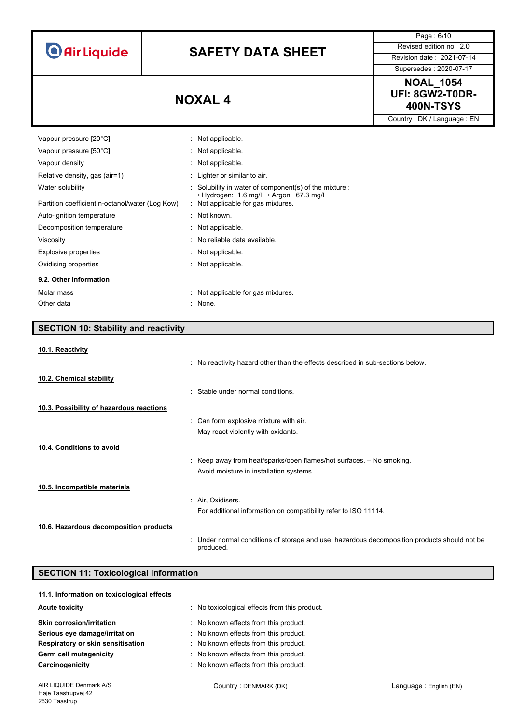**O** Air Liquide

# **SAFETY DATA SHEET** Revised edition no : 2.0

Page : 6/10

Supersedes : 2020-07-17

# **NOAL\_1054 UFI: 8GW2-T0DR-400N-TSYS NOXAL 4**

Country : DK / Language : EN

| Vapour pressure [20°C]                          | : Not applicable.                                                                         |
|-------------------------------------------------|-------------------------------------------------------------------------------------------|
| Vapour pressure [50°C]                          | : Not applicable.                                                                         |
| Vapour density                                  | : Not applicable.                                                                         |
| Relative density, gas (air=1)                   | : Lighter or similar to air.                                                              |
| Water solubility                                | $\therefore$ Solubility in water of component(s) of the mixture $\therefore$              |
| Partition coefficient n-octanol/water (Log Kow) | $\cdot$ Hydrogen: 1.6 mg/l $\cdot$ Argon: 67.3 mg/l<br>: Not applicable for gas mixtures. |
| Auto-ignition temperature                       | $:$ Not known.                                                                            |
| Decomposition temperature                       | : Not applicable.                                                                         |
| Viscosity                                       | : No reliable data available.                                                             |
| <b>Explosive properties</b>                     | : Not applicable.                                                                         |
| Oxidising properties                            | : Not applicable.                                                                         |
| 9.2. Other information                          |                                                                                           |
| Molar mass                                      | : Not applicable for gas mixtures.                                                        |
| Other data                                      | : None.                                                                                   |

# **SECTION 10: Stability and reactivity**

### **10.1. Reactivity**

|                                          | : No reactivity hazard other than the effects described in sub-sections below.                            |
|------------------------------------------|-----------------------------------------------------------------------------------------------------------|
| 10.2. Chemical stability                 |                                                                                                           |
|                                          | : Stable under normal conditions.                                                                         |
| 10.3. Possibility of hazardous reactions |                                                                                                           |
|                                          | : Can form explosive mixture with air.                                                                    |
|                                          | May react violently with oxidants.                                                                        |
| 10.4. Conditions to avoid                |                                                                                                           |
|                                          | : Keep away from heat/sparks/open flames/hot surfaces. $-$ No smoking.                                    |
|                                          | Avoid moisture in installation systems.                                                                   |
| 10.5. Incompatible materials             |                                                                                                           |
|                                          | : Air, Oxidisers.                                                                                         |
|                                          | For additional information on compatibility refer to ISO 11114.                                           |
| 10.6. Hazardous decomposition products   |                                                                                                           |
|                                          | : Under normal conditions of storage and use, hazardous decomposition products should not be<br>produced. |

# **SECTION 11: Toxicological information**

| 11.1. Information on toxicological effects |                                             |
|--------------------------------------------|---------------------------------------------|
| <b>Acute toxicity</b>                      | No toxicological effects from this product. |
| <b>Skin corrosion/irritation</b>           | : No known effects from this product.       |
| Serious eye damage/irritation              | : No known effects from this product.       |
| Respiratory or skin sensitisation          | No known effects from this product.         |
| Germ cell mutagenicity                     | : No known effects from this product.       |
| Carcinogenicity                            | : No known effects from this product.       |
|                                            |                                             |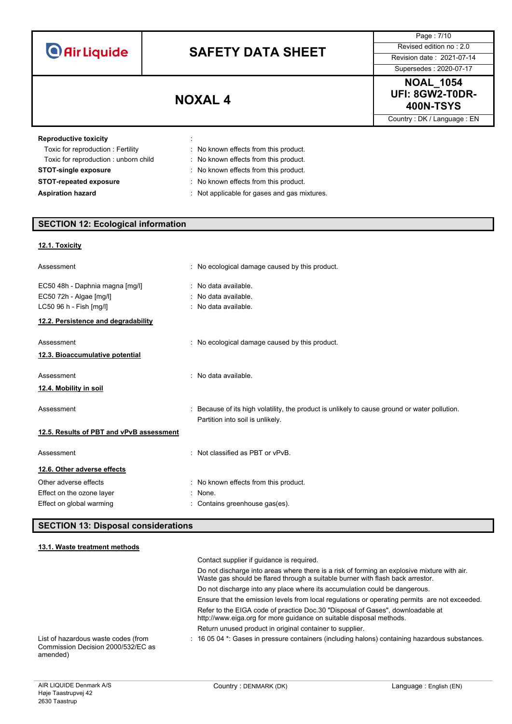| <b>O</b> Air Liquide |  |  |
|----------------------|--|--|
|                      |  |  |

Page : 7/10 Supersedes : 2020-07-17

# **NOAL\_1054 UFI: 8GW2-T0DR-400N-TSYS NOXAL 4**

Country : DK / Language : EN

| <b>Reproductive toxicity</b>         | $\cdot$ |                                              |
|--------------------------------------|---------|----------------------------------------------|
| Toxic for reproduction: Fertility    |         | : No known effects from this product.        |
| Toxic for reproduction: unborn child |         | : No known effects from this product.        |
| <b>STOT-single exposure</b>          |         | No known effects from this product.          |
| <b>STOT-repeated exposure</b>        |         | No known effects from this product.          |
| <b>Aspiration hazard</b>             |         | : Not applicable for gases and gas mixtures. |

# **SECTION 12: Ecological information**

# **12.1. Toxicity**

| Assessment                                                                                                                   | : No ecological damage caused by this product.                                                                                  |
|------------------------------------------------------------------------------------------------------------------------------|---------------------------------------------------------------------------------------------------------------------------------|
| EC50 48h - Daphnia magna [mg/l]<br>EC50 72h - Algae [mg/l]<br>LC50 96 h - Fish [mg/l]<br>12.2. Persistence and degradability | : No data available.<br>: No data available.<br>: No data available.                                                            |
| Assessment<br>12.3. Bioaccumulative potential                                                                                | : No ecological damage caused by this product.                                                                                  |
| Assessment<br>12.4. Mobility in soil                                                                                         | No data available.                                                                                                              |
| Assessment                                                                                                                   | Because of its high volatility, the product is unlikely to cause ground or water pollution.<br>Partition into soil is unlikely. |
| 12.5. Results of PBT and vPvB assessment                                                                                     |                                                                                                                                 |
| Assessment                                                                                                                   | Not classified as PBT or vPvB.                                                                                                  |
| 12.6. Other adverse effects<br>Other adverse effects<br>Effect on the ozone layer<br>Effect on global warming                | : No known effects from this product.<br>None.<br>Contains greenhouse gas(es).                                                  |

# **SECTION 13: Disposal considerations**

## **13.1. Waste treatment methods**

|                                                                                       | Contact supplier if quidance is required.                                                                                                                                     |
|---------------------------------------------------------------------------------------|-------------------------------------------------------------------------------------------------------------------------------------------------------------------------------|
|                                                                                       | Do not discharge into areas where there is a risk of forming an explosive mixture with air.<br>Waste gas should be flared through a suitable burner with flash back arrestor. |
|                                                                                       | Do not discharge into any place where its accumulation could be dangerous.                                                                                                    |
|                                                                                       | Ensure that the emission levels from local regulations or operating permits are not exceeded.                                                                                 |
|                                                                                       | Refer to the EIGA code of practice Doc.30 "Disposal of Gases", downloadable at<br>http://www.eiga.org for more guidance on suitable disposal methods.                         |
|                                                                                       | Return unused product in original container to supplier.                                                                                                                      |
| List of hazardous waste codes (from<br>Commission Decision 2000/532/EC as<br>amended) | $\pm$ 16 05 04 $^*$ . Gases in pressure containers (including halons) containing hazardous substances.                                                                        |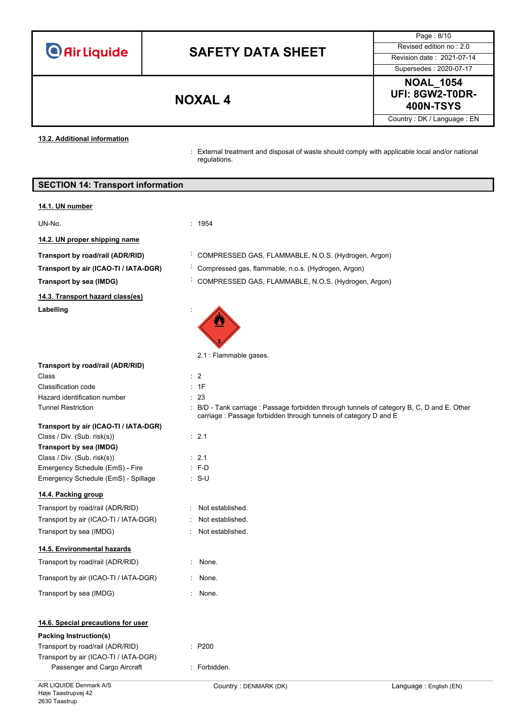**O** Air Liquide

# **SAFETY DATA SHEET** Revised edition no : 2.0

Page : 8/10 Supersedes : 2020-07-17

**NOAL\_1054 UFI: 8GW2-T0DR-400N-TSYS NOXAL 4**

Country : DK / Language : EN

**13.2. Additional information**

: External treatment and disposal of waste should comply with applicable local and/or national regulations.

| <b>SECTION 14: Transport information</b> |
|------------------------------------------|
|------------------------------------------|

### **14.1. UN number**

UN-No. : 1954

**14.2. UN proper shipping name**

**14.3. Transport hazard class(es)**

Labelling

: None. : None.

 $P200$ 

: Forbidden.

 $\cdot$  Not established : Not established. : Not established.

- **Transport by road/rail (ADR/RID)** : COMPRESSED GAS, FLAMMABLE, N.O.S. (Hydrogen, Argon)
- **Transport by air (ICAO-TI / IATA-DGR)** : Compressed gas, flammable, n.o.s. (Hydrogen, Argon)
- **Transport by sea (IMDG)** : COMPRESSED GAS, FLAMMABLE, N.O.S. (Hydrogen, Argon)

carriage : Passage forbidden through tunnels of category D and E



2.1 : Flammable gases.

**Transport by road/rail (ADR/RID)**

Class : 2 Classification code : 1F Hazard identification number : 23 Tunnel Restriction : B/D - Tank carriage : Passage forbidden through tunnels of category B, C, D and E. Other

# **Transport by air (ICAO-TI / IATA-DGR)**

| Class / Div. (Sub. risk(s))         | $\therefore$ 2.1 |
|-------------------------------------|------------------|
| Transport by sea (IMDG)             |                  |
| Class / Div. (Sub. risk(s))         | $\cdot$ 21       |
| Emergency Schedule (EmS) - Fire     | $: F-D$          |
| Emergency Schedule (EmS) - Spillage | : S-U            |

## **14.4. Packing group**

| Transport by road/rail (ADR/RID)      |
|---------------------------------------|
| Transport by air (ICAO-TI / IATA-DGR) |
| Transport by sea (IMDG)               |

## **14.5. Environmental hazards**

| Transport by road/rail (ADR/RID)      |  |
|---------------------------------------|--|
| Transport by air (ICAO-TI / IATA-DGR) |  |

# Transport by sea (IMDG) **in the set of the sea of the sea of the set of the sea of the sea of the sea of the sea of the sea of the sea of the sea of the sea of the sea of the sea of the sea of the sea of the sea of the sea**

# **14.6. Special precautions for user**

## **Packing Instruction(s)**

| Transport by road/rail (ADR/RID)      |  |
|---------------------------------------|--|
| Transport by air (ICAO-TI / IATA-DGR) |  |
| Passenger and Cargo Aircraft          |  |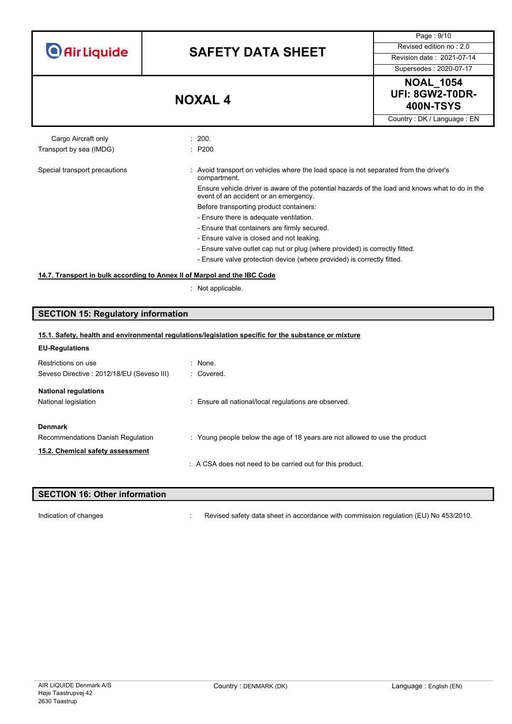| <b>O</b> Air Liquide |  |  |
|----------------------|--|--|
|                      |  |  |

Page : 9/10



Country : DK / Language : EN

Cargo Aircraft only **Example 200.** 200. Transport by sea (IMDG) : P200

#### Special transport precautions : Avoid transport on vehicles where the load space is not separated from the driver's compartment. Ensure vehicle driver is aware of the potential hazards of the load and knows what to do in the

event of an accident or an emergency.

Before transporting product containers:

- Ensure there is adequate ventilation.
- Ensure that containers are firmly secured.
- Ensure valve is closed and not leaking.
- Ensure valve outlet cap nut or plug (where provided) is correctly fitted.
- Ensure valve protection device (where provided) is correctly fitted.

## **14.7. Transport in bulk according to Annex II of Marpol and the IBC Code**

: Not applicable.

# **SECTION 15: Regulatory information**

| 15.1. Safety, health and environmental regulations/legislation specific for the substance or mixture |                                                                             |  |  |
|------------------------------------------------------------------------------------------------------|-----------------------------------------------------------------------------|--|--|
| <b>EU-Regulations</b>                                                                                |                                                                             |  |  |
| Restrictions on use                                                                                  | : None.                                                                     |  |  |
| Seveso Directive: 2012/18/EU (Seveso III)                                                            | : Covered.                                                                  |  |  |
| <b>National regulations</b>                                                                          |                                                                             |  |  |
| National legislation                                                                                 | : Ensure all national/local regulations are observed.                       |  |  |
| <b>Denmark</b><br>Recommendations Danish Regulation                                                  | : Young people below the age of 18 years are not allowed to use the product |  |  |
| 15.2. Chemical safety assessment                                                                     |                                                                             |  |  |
|                                                                                                      | A CSA does not need to be carried out for this product.                     |  |  |

# **SECTION 16: Other information**

Indication of changes **in the visible of the Commission of changes** in accordance with commission regulation (EU) No 453/2010.